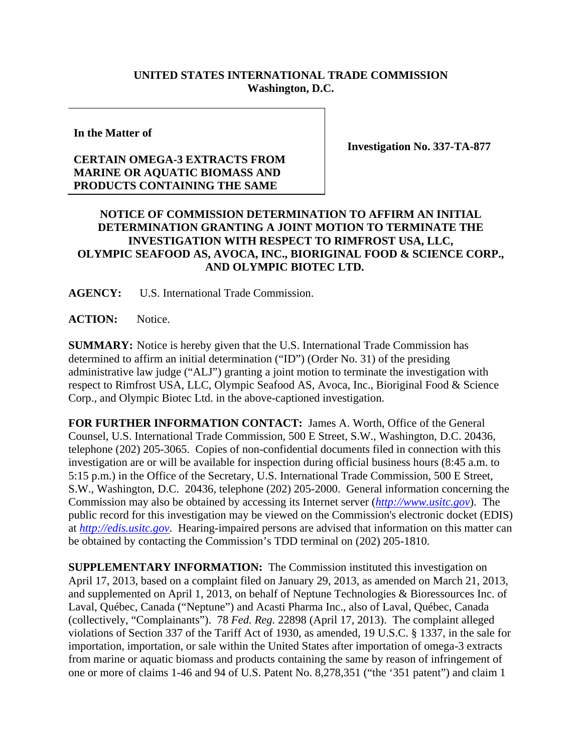## **UNITED STATES INTERNATIONAL TRADE COMMISSION Washington, D.C.**

**In the Matter of** 

## **CERTAIN OMEGA-3 EXTRACTS FROM MARINE OR AQUATIC BIOMASS AND PRODUCTS CONTAINING THE SAME**

**Investigation No. 337-TA-877** 

## **NOTICE OF COMMISSION DETERMINATION TO AFFIRM AN INITIAL DETERMINATION GRANTING A JOINT MOTION TO TERMINATE THE INVESTIGATION WITH RESPECT TO RIMFROST USA, LLC, OLYMPIC SEAFOOD AS, AVOCA, INC., BIORIGINAL FOOD & SCIENCE CORP., AND OLYMPIC BIOTEC LTD.**

**AGENCY:** U.S. International Trade Commission.

ACTION: Notice.

**SUMMARY:** Notice is hereby given that the U.S. International Trade Commission has determined to affirm an initial determination ("ID") (Order No. 31) of the presiding administrative law judge ("ALJ") granting a joint motion to terminate the investigation with respect to Rimfrost USA, LLC, Olympic Seafood AS, Avoca, Inc., Bioriginal Food & Science Corp., and Olympic Biotec Ltd. in the above-captioned investigation.

**FOR FURTHER INFORMATION CONTACT:** James A. Worth, Office of the General Counsel, U.S. International Trade Commission, 500 E Street, S.W., Washington, D.C. 20436, telephone (202) 205-3065. Copies of non-confidential documents filed in connection with this investigation are or will be available for inspection during official business hours (8:45 a.m. to 5:15 p.m.) in the Office of the Secretary, U.S. International Trade Commission, 500 E Street, S.W., Washington, D.C. 20436, telephone (202) 205-2000. General information concerning the Commission may also be obtained by accessing its Internet server (*http://www.usitc.gov*). The public record for this investigation may be viewed on the Commission's electronic docket (EDIS) at *http://edis.usitc.gov*. Hearing-impaired persons are advised that information on this matter can be obtained by contacting the Commission's TDD terminal on (202) 205-1810.

**SUPPLEMENTARY INFORMATION:** The Commission instituted this investigation on April 17, 2013, based on a complaint filed on January 29, 2013, as amended on March 21, 2013, and supplemented on April 1, 2013, on behalf of Neptune Technologies & Bioressources Inc. of Laval, Québec, Canada ("Neptune") and Acasti Pharma Inc., also of Laval, Québec, Canada (collectively, "Complainants"). 78 *Fed. Reg.* 22898 (April 17, 2013). The complaint alleged violations of Section 337 of the Tariff Act of 1930, as amended, 19 U.S.C. § 1337, in the sale for importation, importation, or sale within the United States after importation of omega-3 extracts from marine or aquatic biomass and products containing the same by reason of infringement of one or more of claims 1-46 and 94 of U.S. Patent No. 8,278,351 ("the '351 patent") and claim 1